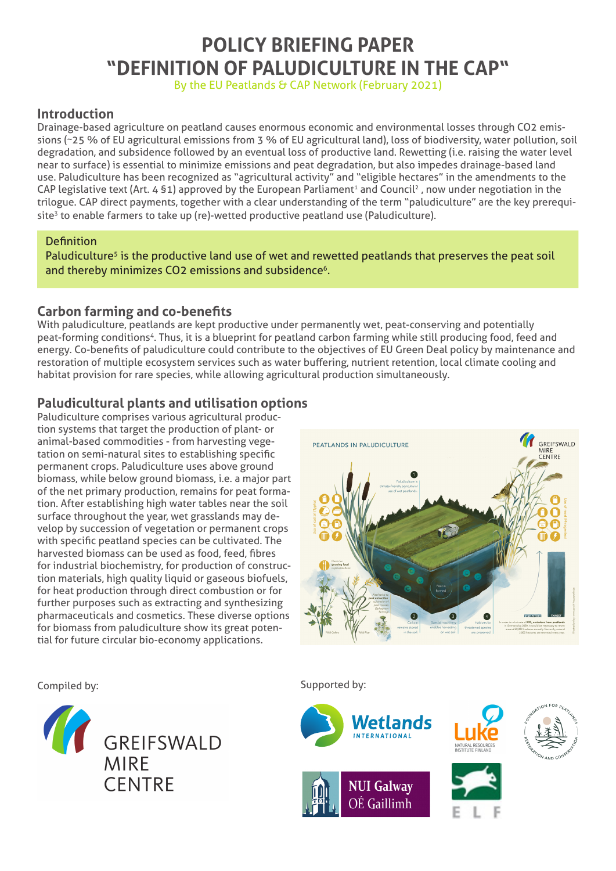# **POLICY BRIEFING PAPER "DEFINITION OF PALUDICULTURE IN THE CAP"**

By the EU Peatlands & CAP Network (February 2021)

# **Introduction**

Drainage-based agriculture on peatland causes enormous economic and environmental losses through CO2 emissions (~25 % of EU agricultural emissions from 3 % of EU agricultural land), loss of biodiversity, water pollution, soil degradation, and subsidence followed by an eventual loss of productive land. Rewetting (i.e. raising the water level near to surface) is essential to minimize emissions and peat degradation, but also impedes drainage-based land use. Paludiculture has been recognized as "agricultural activity" and "eligible hectares" in the amendments to the CAP legislative text (Art. 4 §1) approved by the European Parliament<sup>1</sup> and Council<sup>2</sup>, now under negotiation in the trilogue. CAP direct payments, together with a clear understanding of the term "paludiculture" are the key prerequisite<sup>3</sup> to enable farmers to take up (re)-wetted productive peatland use (Paludiculture).

#### **Definition**

Paludiculture<sup>5</sup> is the productive land use of wet and rewetted peatlands that preserves the peat soil and thereby minimizes CO2 emissions and subsidence<sup>6</sup>.

### **Carbon farming and co-benefits**

With paludiculture, peatlands are kept productive under permanently wet, peat-conserving and potentially peat-forming conditions<sup>4</sup>. Thus, it is a blueprint for peatland carbon farming while still producing food, feed and energy. Co-benefits of paludiculture could contribute to the objectives of EU Green Deal policy by maintenance and restoration of multiple ecosystem services such as water buffering, nutrient retention, local climate cooling and habitat provision for rare species, while allowing agricultural production simultaneously.

# **Paludicultural plants and utilisation options**

Paludiculture comprises various agricultural production systems that target the production of plant- or animal-based commodities - from harvesting vegetation on semi-natural sites to establishing specific permanent crops. Paludiculture uses above ground biomass, while below ground biomass, i.e. a major part of the net primary production, remains for peat formation. After establishing high water tables near the soil surface throughout the year, wet grasslands may develop by succession of vegetation or permanent crops with specific peatland species can be cultivated. The harvested biomass can be used as food, feed, fibres for industrial biochemistry, for production of construction materials, high quality liquid or gaseous biofuels, for heat production through direct combustion or for further purposes such as extracting and synthesizing pharmaceuticals and cosmetics. These diverse options for biomass from paludiculture show its great potential for future circular bio-economy applications.





Compiled by: Supported by: